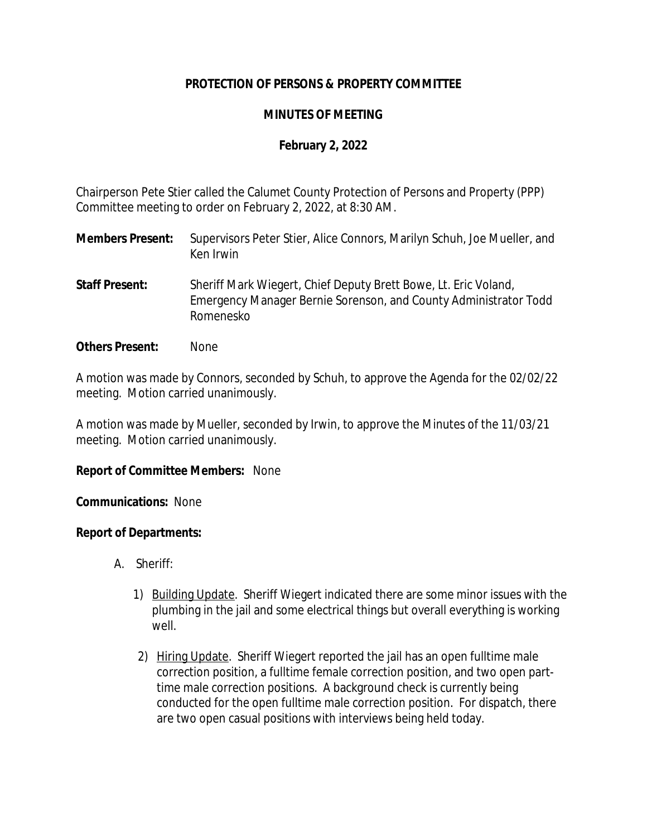# **PROTECTION OF PERSONS & PROPERTY COMMITTEE**

# **MINUTES OF MEETING**

# **February 2, 2022**

Chairperson Pete Stier called the Calumet County Protection of Persons and Property (PPP) Committee meeting to order on February 2, 2022, at 8:30 AM.

- **Members Present:** Supervisors Peter Stier, Alice Connors, Marilyn Schuh, Joe Mueller, and Ken Irwin
- **Staff Present:** Sheriff Mark Wiegert, Chief Deputy Brett Bowe, Lt. Eric Voland, Emergency Manager Bernie Sorenson, and County Administrator Todd Romenesko
- **Others Present:** None

A motion was made by Connors, seconded by Schuh, to approve the Agenda for the 02/02/22 meeting. Motion carried unanimously.

A motion was made by Mueller, seconded by Irwin, to approve the Minutes of the 11/03/21 meeting. Motion carried unanimously.

### **Report of Committee Members:** None

#### **Communications:** None

### **Report of Departments:**

- A. Sheriff:
	- 1) Building Update. Sheriff Wiegert indicated there are some minor issues with the plumbing in the jail and some electrical things but overall everything is working well.
	- 2) Hiring Update. Sheriff Wiegert reported the jail has an open fulltime male correction position, a fulltime female correction position, and two open parttime male correction positions. A background check is currently being conducted for the open fulltime male correction position. For dispatch, there are two open casual positions with interviews being held today.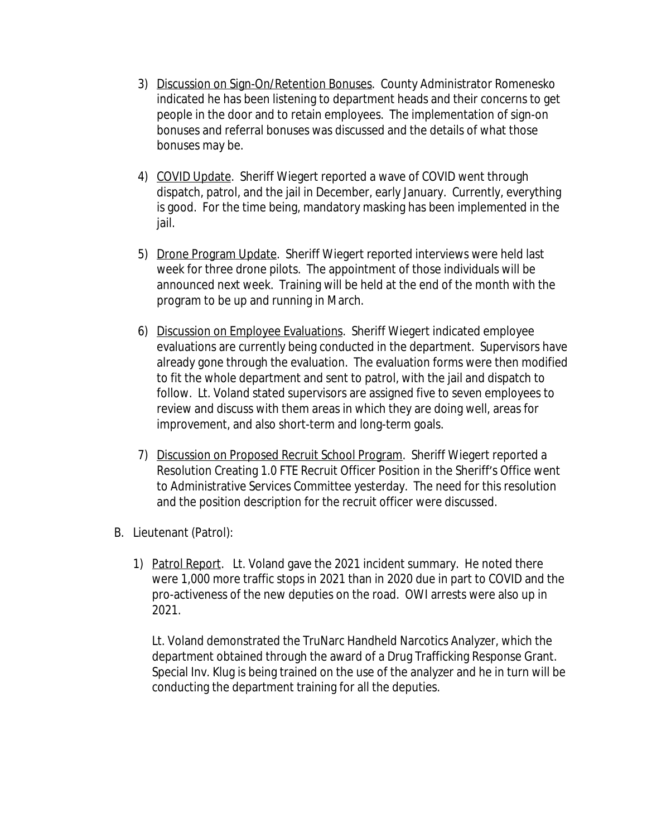- 3) Discussion on Sign-On/Retention Bonuses. County Administrator Romenesko indicated he has been listening to department heads and their concerns to get people in the door and to retain employees. The implementation of sign-on bonuses and referral bonuses was discussed and the details of what those bonuses may be.
- 4) COVID Update. Sheriff Wiegert reported a wave of COVID went through dispatch, patrol, and the jail in December, early January. Currently, everything is good. For the time being, mandatory masking has been implemented in the jail.
- 5) Drone Program Update. Sheriff Wiegert reported interviews were held last week for three drone pilots. The appointment of those individuals will be announced next week. Training will be held at the end of the month with the program to be up and running in March.
- 6) Discussion on Employee Evaluations. Sheriff Wiegert indicated employee evaluations are currently being conducted in the department. Supervisors have already gone through the evaluation. The evaluation forms were then modified to fit the whole department and sent to patrol, with the jail and dispatch to follow. Lt. Voland stated supervisors are assigned five to seven employees to review and discuss with them areas in which they are doing well, areas for improvement, and also short-term and long-term goals.
- 7) Discussion on Proposed Recruit School Program. Sheriff Wiegert reported a Resolution Creating 1.0 FTE Recruit Officer Position in the Sheriff's Office went to Administrative Services Committee yesterday. The need for this resolution and the position description for the recruit officer were discussed.
- B. Lieutenant (Patrol):
	- 1) Patrol Report. Lt. Voland gave the 2021 incident summary. He noted there were 1,000 more traffic stops in 2021 than in 2020 due in part to COVID and the pro-activeness of the new deputies on the road. OWI arrests were also up in 2021.

Lt. Voland demonstrated the TruNarc Handheld Narcotics Analyzer, which the department obtained through the award of a Drug Trafficking Response Grant. Special Inv. Klug is being trained on the use of the analyzer and he in turn will be conducting the department training for all the deputies.